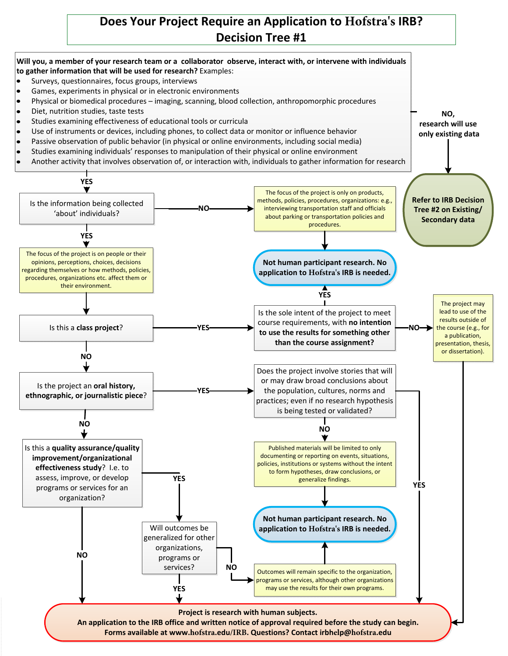## **Does Your Project Require an Application to Hofstra's IRB? Decision Tree #1**